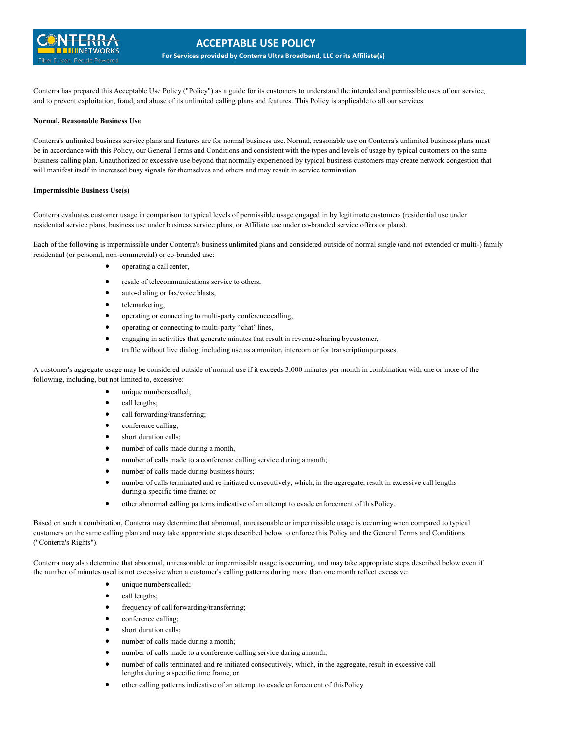

Conterra has prepared this Acceptable Use Policy ("Policy") as a guide for its customers to understand the intended and permissible uses of our service, and to prevent exploitation, fraud, and abuse of its unlimited calling plans and features. This Policy is applicable to all our services.

## **Normal, Reasonable Business Use**

Conterra's unlimited business service plans and features are for normal business use. Normal, reasonable use on Conterra's unlimited business plans must be in accordance with this Policy, our General Terms and Conditions and consistent with the types and levels of usage by typical customers on the same business calling plan. Unauthorized or excessive use beyond that normally experienced by typical business customers may create network congestion that will manifest itself in increased busy signals for themselves and others and may result in service termination.

## **Impermissible Business Use(s)**

Conterra evaluates customer usage in comparison to typical levels of permissible usage engaged in by legitimate customers (residential use under residential service plans, business use under business service plans, or Affiliate use under co-branded service offers or plans).

Each of the following is impermissible under Conterra's business unlimited plans and considered outside of normal single (and not extended or multi-) family residential (or personal, non-commercial) or co-branded use:

- operating a call center,
- resale of telecommunications service to others,
- auto-dialing or fax/voice blasts,
- telemarketing,
- operating or connecting to multi-party conferencecalling,
- operating or connecting to multi-party "chat" lines,
- engaging in activities that generate minutes that result in revenue-sharing bycustomer,
- traffic without live dialog, including use as a monitor, intercom or for transcriptionpurposes.

A customer's aggregate usage may be considered outside of normal use if it exceeds 3,000 minutes per month in combination with one or more of the following, including, but not limited to, excessive:

- unique numbers called;
- call lengths;
- call forwarding/transferring;
- conference calling;
- short duration calls;
- number of calls made during a month,
- number of calls made to a conference calling service during amonth;
- number of calls made during business hours;
- number of calls terminated and re-initiated consecutively, which, in the aggregate, result in excessive call lengths during a specific time frame; or
- other abnormal calling patterns indicative of an attempt to evade enforcement of thisPolicy.

Based on such a combination, Conterra may determine that abnormal, unreasonable or impermissible usage is occurring when compared to typical customers on the same calling plan and may take appropriate steps described below to enforce this Policy and the General Terms and Conditions ("Conterra's Rights").

Conterra may also determine that abnormal, unreasonable or impermissible usage is occurring, and may take appropriate steps described below even if the number of minutes used is not excessive when a customer's calling patterns during more than one month reflect excessive:

- unique numbers called;
- call lengths;
- frequency of call forwarding/transferring;
- conference calling;
- short duration calls;
- number of calls made during a month;
- number of calls made to a conference calling service during amonth;
- number of calls terminated and re-initiated consecutively, which, in the aggregate, result in excessive call lengths during a specific time frame; or
- other calling patterns indicative of an attempt to evade enforcement of thisPolicy